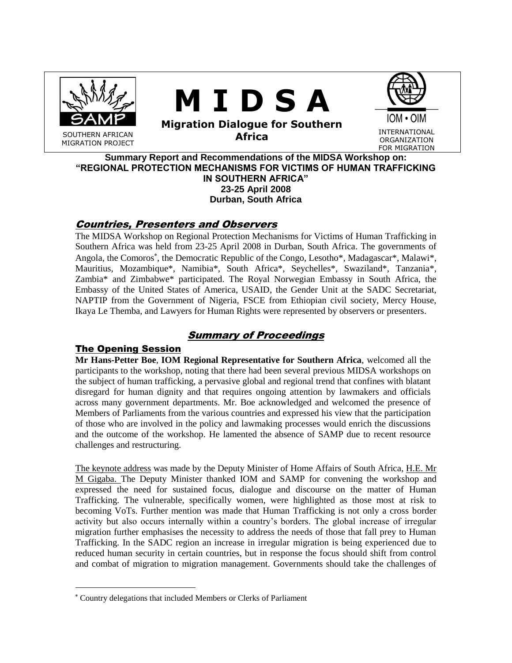

# **M I D S A**



SOUTHERN AFRICAN MIGRATION PROJECT **Migration Dialogue for Southern Africa INTERNATIONAL Africa** 

FOR MIGRATION

IOM • OIM

**Summary Report and Recommendations of the MIDSA Workshop on: "REGIONAL PROTECTION MECHANISMS FOR VICTIMS OF HUMAN TRAFFICKING IN SOUTHERN AFRICA" 23-25 April 2008 Durban, South Africa**

## Countries, Presenters and Observers

The MIDSA Workshop on Regional Protection Mechanisms for Victims of Human Trafficking in Southern Africa was held from 23-25 April 2008 in Durban, South Africa. The governments of Angola, the Comoros<sup>\*</sup>, the Democratic Republic of the Congo, Lesotho<sup>\*</sup>, Madagascar<sup>\*</sup>, Malawi<sup>\*</sup>, Mauritius, Mozambique\*, Namibia\*, South Africa\*, Seychelles\*, Swaziland\*, Tanzania\*, Zambia\* and Zimbabwe\* participated. The Royal Norwegian Embassy in South Africa, the Embassy of the United States of America, USAID, the Gender Unit at the SADC Secretariat, NAPTIP from the Government of Nigeria, FSCE from Ethiopian civil society, Mercy House, Ikaya Le Themba, and Lawyers for Human Rights were represented by observers or presenters.

## Summary of Proceedings

## The Opening Session

 $\overline{a}$ 

**Mr Hans-Petter Boe**, **IOM Regional Representative for Southern Africa**, welcomed all the participants to the workshop, noting that there had been several previous MIDSA workshops on the subject of human trafficking, a pervasive global and regional trend that confines with blatant disregard for human dignity and that requires ongoing attention by lawmakers and officials across many government departments. Mr. Boe acknowledged and welcomed the presence of Members of Parliaments from the various countries and expressed his view that the participation of those who are involved in the policy and lawmaking processes would enrich the discussions and the outcome of the workshop. He lamented the absence of SAMP due to recent resource challenges and restructuring.

The keynote address was made by the Deputy Minister of Home Affairs of South Africa, H.E. Mr M Gigaba. The Deputy Minister thanked IOM and SAMP for convening the workshop and expressed the need for sustained focus, dialogue and discourse on the matter of Human Trafficking. The vulnerable, specifically women, were highlighted as those most at risk to becoming VoTs. Further mention was made that Human Trafficking is not only a cross border activity but also occurs internally within a country"s borders. The global increase of irregular migration further emphasises the necessity to address the needs of those that fall prey to Human Trafficking. In the SADC region an increase in irregular migration is being experienced due to reduced human security in certain countries, but in response the focus should shift from control and combat of migration to migration management. Governments should take the challenges of

Country delegations that included Members or Clerks of Parliament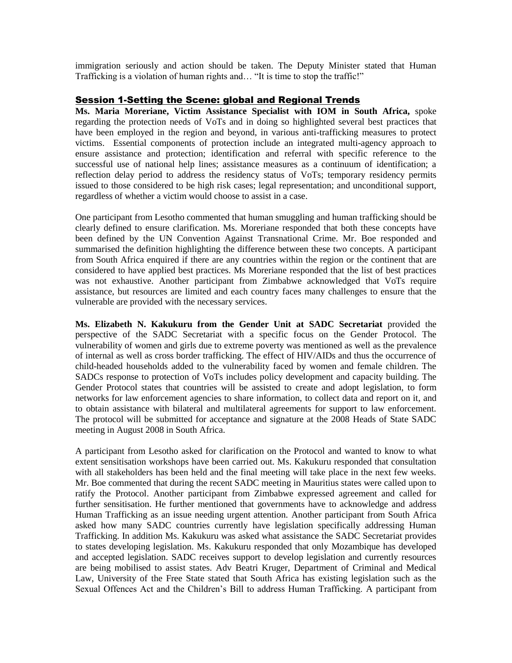immigration seriously and action should be taken. The Deputy Minister stated that Human Trafficking is a violation of human rights and… "It is time to stop the traffic!"

#### Session 1-Setting the Scene: global and Regional Trends

**Ms. Maria Moreriane, Victim Assistance Specialist with IOM in South Africa,** spoke regarding the protection needs of VoTs and in doing so highlighted several best practices that have been employed in the region and beyond, in various anti-trafficking measures to protect victims. Essential components of protection include an integrated multi-agency approach to ensure assistance and protection; identification and referral with specific reference to the successful use of national help lines; assistance measures as a continuum of identification; a reflection delay period to address the residency status of VoTs; temporary residency permits issued to those considered to be high risk cases; legal representation; and unconditional support, regardless of whether a victim would choose to assist in a case.

One participant from Lesotho commented that human smuggling and human trafficking should be clearly defined to ensure clarification. Ms. Moreriane responded that both these concepts have been defined by the UN Convention Against Transnational Crime. Mr. Boe responded and summarised the definition highlighting the difference between these two concepts. A participant from South Africa enquired if there are any countries within the region or the continent that are considered to have applied best practices. Ms Moreriane responded that the list of best practices was not exhaustive. Another participant from Zimbabwe acknowledged that VoTs require assistance, but resources are limited and each country faces many challenges to ensure that the vulnerable are provided with the necessary services.

**Ms. Elizabeth N. Kakukuru from the Gender Unit at SADC Secretariat** provided the perspective of the SADC Secretariat with a specific focus on the Gender Protocol. The vulnerability of women and girls due to extreme poverty was mentioned as well as the prevalence of internal as well as cross border trafficking. The effect of HIV/AIDs and thus the occurrence of child-headed households added to the vulnerability faced by women and female children. The SADCs response to protection of VoTs includes policy development and capacity building. The Gender Protocol states that countries will be assisted to create and adopt legislation, to form networks for law enforcement agencies to share information, to collect data and report on it, and to obtain assistance with bilateral and multilateral agreements for support to law enforcement. The protocol will be submitted for acceptance and signature at the 2008 Heads of State SADC meeting in August 2008 in South Africa.

A participant from Lesotho asked for clarification on the Protocol and wanted to know to what extent sensitisation workshops have been carried out. Ms. Kakukuru responded that consultation with all stakeholders has been held and the final meeting will take place in the next few weeks. Mr. Boe commented that during the recent SADC meeting in Mauritius states were called upon to ratify the Protocol. Another participant from Zimbabwe expressed agreement and called for further sensitisation. He further mentioned that governments have to acknowledge and address Human Trafficking as an issue needing urgent attention. Another participant from South Africa asked how many SADC countries currently have legislation specifically addressing Human Trafficking. In addition Ms. Kakukuru was asked what assistance the SADC Secretariat provides to states developing legislation. Ms. Kakukuru responded that only Mozambique has developed and accepted legislation. SADC receives support to develop legislation and currently resources are being mobilised to assist states. Adv Beatri Kruger, Department of Criminal and Medical Law, University of the Free State stated that South Africa has existing legislation such as the Sexual Offences Act and the Children"s Bill to address Human Trafficking. A participant from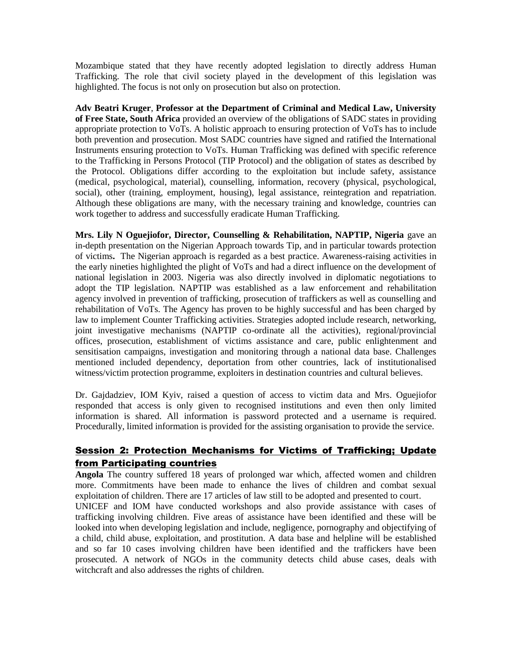Mozambique stated that they have recently adopted legislation to directly address Human Trafficking. The role that civil society played in the development of this legislation was highlighted. The focus is not only on prosecution but also on protection.

**Adv Beatri Kruger**, **Professor at the Department of Criminal and Medical Law, University of Free State, South Africa** provided an overview of the obligations of SADC states in providing appropriate protection to VoTs. A holistic approach to ensuring protection of VoTs has to include both prevention and prosecution. Most SADC countries have signed and ratified the International Instruments ensuring protection to VoTs. Human Trafficking was defined with specific reference to the Trafficking in Persons Protocol (TIP Protocol) and the obligation of states as described by the Protocol. Obligations differ according to the exploitation but include safety, assistance (medical, psychological, material), counselling, information, recovery (physical, psychological, social), other (training, employment, housing), legal assistance, reintegration and repatriation. Although these obligations are many, with the necessary training and knowledge, countries can work together to address and successfully eradicate Human Trafficking.

**Mrs. Lily N Oguejiofor, Director, Counselling & Rehabilitation, NAPTIP, Nigeria** gave an in-depth presentation on the Nigerian Approach towards Tip, and in particular towards protection of victims**.** The Nigerian approach is regarded as a best practice. Awareness-raising activities in the early nineties highlighted the plight of VoTs and had a direct influence on the development of national legislation in 2003. Nigeria was also directly involved in diplomatic negotiations to adopt the TIP legislation. NAPTIP was established as a law enforcement and rehabilitation agency involved in prevention of trafficking, prosecution of traffickers as well as counselling and rehabilitation of VoTs. The Agency has proven to be highly successful and has been charged by law to implement Counter Trafficking activities. Strategies adopted include research, networking, joint investigative mechanisms (NAPTIP co-ordinate all the activities), regional/provincial offices, prosecution, establishment of victims assistance and care, public enlightenment and sensitisation campaigns, investigation and monitoring through a national data base. Challenges mentioned included dependency, deportation from other countries, lack of institutionalised witness/victim protection programme, exploiters in destination countries and cultural believes.

Dr. Gajdadziev, IOM Kyiv, raised a question of access to victim data and Mrs. Oguejiofor responded that access is only given to recognised institutions and even then only limited information is shared. All information is password protected and a username is required. Procedurally, limited information is provided for the assisting organisation to provide the service.

## Session 2: Protection Mechanisms for Victims of Trafficking; Update from Participating countries

**Angola** The country suffered 18 years of prolonged war which, affected women and children more. Commitments have been made to enhance the lives of children and combat sexual exploitation of children. There are 17 articles of law still to be adopted and presented to court.

UNICEF and IOM have conducted workshops and also provide assistance with cases of trafficking involving children. Five areas of assistance have been identified and these will be looked into when developing legislation and include, negligence, pornography and objectifying of a child, child abuse, exploitation, and prostitution. A data base and helpline will be established and so far 10 cases involving children have been identified and the traffickers have been prosecuted. A network of NGOs in the community detects child abuse cases, deals with witchcraft and also addresses the rights of children.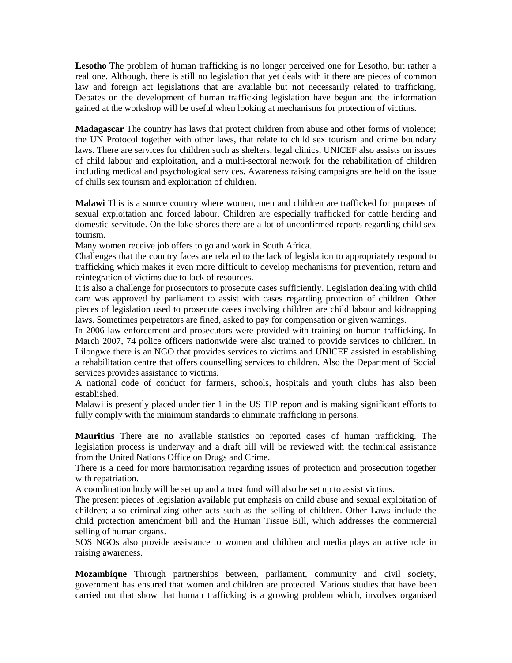**Lesotho** The problem of human trafficking is no longer perceived one for Lesotho, but rather a real one. Although, there is still no legislation that yet deals with it there are pieces of common law and foreign act legislations that are available but not necessarily related to trafficking. Debates on the development of human trafficking legislation have begun and the information gained at the workshop will be useful when looking at mechanisms for protection of victims.

**Madagascar** The country has laws that protect children from abuse and other forms of violence; the UN Protocol together with other laws, that relate to child sex tourism and crime boundary laws. There are services for children such as shelters, legal clinics, UNICEF also assists on issues of child labour and exploitation, and a multi-sectoral network for the rehabilitation of children including medical and psychological services. Awareness raising campaigns are held on the issue of chills sex tourism and exploitation of children.

**Malawi** This is a source country where women, men and children are trafficked for purposes of sexual exploitation and forced labour. Children are especially trafficked for cattle herding and domestic servitude. On the lake shores there are a lot of unconfirmed reports regarding child sex tourism.

Many women receive job offers to go and work in South Africa.

Challenges that the country faces are related to the lack of legislation to appropriately respond to trafficking which makes it even more difficult to develop mechanisms for prevention, return and reintegration of victims due to lack of resources.

It is also a challenge for prosecutors to prosecute cases sufficiently. Legislation dealing with child care was approved by parliament to assist with cases regarding protection of children. Other pieces of legislation used to prosecute cases involving children are child labour and kidnapping laws. Sometimes perpetrators are fined, asked to pay for compensation or given warnings.

In 2006 law enforcement and prosecutors were provided with training on human trafficking. In March 2007, 74 police officers nationwide were also trained to provide services to children. In Lilongwe there is an NGO that provides services to victims and UNICEF assisted in establishing a rehabilitation centre that offers counselling services to children. Also the Department of Social services provides assistance to victims.

A national code of conduct for farmers, schools, hospitals and youth clubs has also been established.

Malawi is presently placed under tier 1 in the US TIP report and is making significant efforts to fully comply with the minimum standards to eliminate trafficking in persons.

**Mauritius** There are no available statistics on reported cases of human trafficking. The legislation process is underway and a draft bill will be reviewed with the technical assistance from the United Nations Office on Drugs and Crime.

There is a need for more harmonisation regarding issues of protection and prosecution together with repatriation.

A coordination body will be set up and a trust fund will also be set up to assist victims.

The present pieces of legislation available put emphasis on child abuse and sexual exploitation of children; also criminalizing other acts such as the selling of children. Other Laws include the child protection amendment bill and the Human Tissue Bill, which addresses the commercial selling of human organs.

SOS NGOs also provide assistance to women and children and media plays an active role in raising awareness.

**Mozambique** Through partnerships between, parliament, community and civil society, government has ensured that women and children are protected. Various studies that have been carried out that show that human trafficking is a growing problem which, involves organised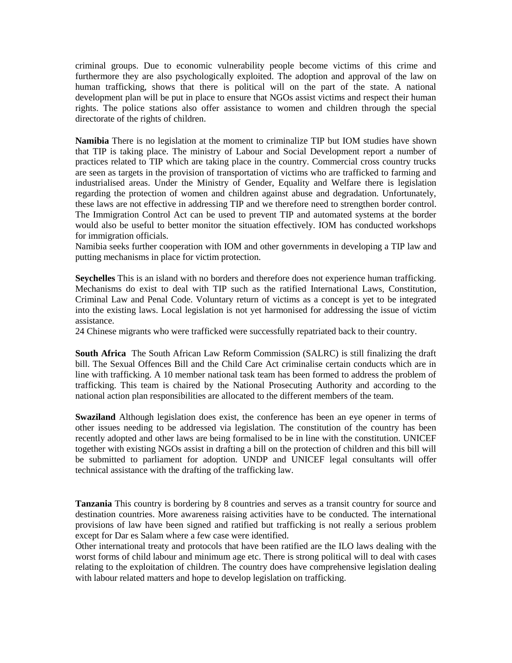criminal groups. Due to economic vulnerability people become victims of this crime and furthermore they are also psychologically exploited. The adoption and approval of the law on human trafficking, shows that there is political will on the part of the state. A national development plan will be put in place to ensure that NGOs assist victims and respect their human rights. The police stations also offer assistance to women and children through the special directorate of the rights of children.

**Namibia** There is no legislation at the moment to criminalize TIP but IOM studies have shown that TIP is taking place. The ministry of Labour and Social Development report a number of practices related to TIP which are taking place in the country. Commercial cross country trucks are seen as targets in the provision of transportation of victims who are trafficked to farming and industrialised areas. Under the Ministry of Gender, Equality and Welfare there is legislation regarding the protection of women and children against abuse and degradation. Unfortunately, these laws are not effective in addressing TIP and we therefore need to strengthen border control. The Immigration Control Act can be used to prevent TIP and automated systems at the border would also be useful to better monitor the situation effectively. IOM has conducted workshops for immigration officials.

Namibia seeks further cooperation with IOM and other governments in developing a TIP law and putting mechanisms in place for victim protection.

**Seychelles** This is an island with no borders and therefore does not experience human trafficking. Mechanisms do exist to deal with TIP such as the ratified International Laws, Constitution, Criminal Law and Penal Code. Voluntary return of victims as a concept is yet to be integrated into the existing laws. Local legislation is not yet harmonised for addressing the issue of victim assistance.

24 Chinese migrants who were trafficked were successfully repatriated back to their country.

**South Africa** The South African Law Reform Commission (SALRC) is still finalizing the draft bill. The Sexual Offences Bill and the Child Care Act criminalise certain conducts which are in line with trafficking. A 10 member national task team has been formed to address the problem of trafficking. This team is chaired by the National Prosecuting Authority and according to the national action plan responsibilities are allocated to the different members of the team.

**Swaziland** Although legislation does exist, the conference has been an eye opener in terms of other issues needing to be addressed via legislation. The constitution of the country has been recently adopted and other laws are being formalised to be in line with the constitution. UNICEF together with existing NGOs assist in drafting a bill on the protection of children and this bill will be submitted to parliament for adoption. UNDP and UNICEF legal consultants will offer technical assistance with the drafting of the trafficking law.

**Tanzania** This country is bordering by 8 countries and serves as a transit country for source and destination countries. More awareness raising activities have to be conducted. The international provisions of law have been signed and ratified but trafficking is not really a serious problem except for Dar es Salam where a few case were identified.

Other international treaty and protocols that have been ratified are the ILO laws dealing with the worst forms of child labour and minimum age etc. There is strong political will to deal with cases relating to the exploitation of children. The country does have comprehensive legislation dealing with labour related matters and hope to develop legislation on trafficking.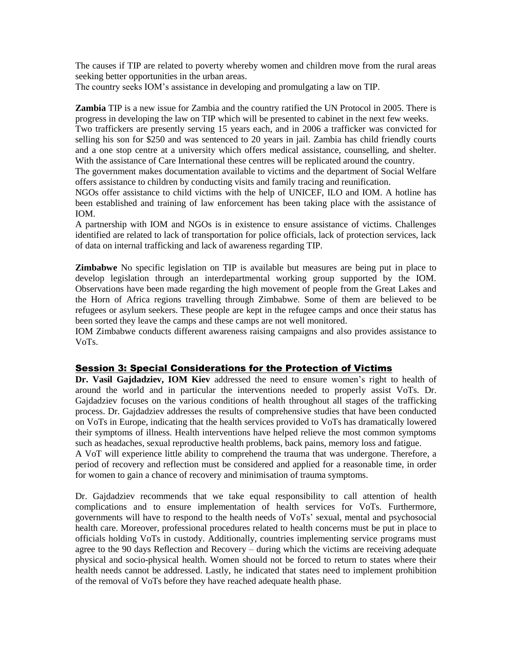The causes if TIP are related to poverty whereby women and children move from the rural areas seeking better opportunities in the urban areas.

The country seeks IOM"s assistance in developing and promulgating a law on TIP.

**Zambia** TIP is a new issue for Zambia and the country ratified the UN Protocol in 2005. There is progress in developing the law on TIP which will be presented to cabinet in the next few weeks.

Two traffickers are presently serving 15 years each, and in 2006 a trafficker was convicted for selling his son for \$250 and was sentenced to 20 years in jail. Zambia has child friendly courts and a one stop centre at a university which offers medical assistance, counselling, and shelter. With the assistance of Care International these centres will be replicated around the country.

The government makes documentation available to victims and the department of Social Welfare offers assistance to children by conducting visits and family tracing and reunification.

NGOs offer assistance to child victims with the help of UNICEF, ILO and IOM. A hotline has been established and training of law enforcement has been taking place with the assistance of IOM.

A partnership with IOM and NGOs is in existence to ensure assistance of victims. Challenges identified are related to lack of transportation for police officials, lack of protection services, lack of data on internal trafficking and lack of awareness regarding TIP.

**Zimbabwe** No specific legislation on TIP is available but measures are being put in place to develop legislation through an interdepartmental working group supported by the IOM. Observations have been made regarding the high movement of people from the Great Lakes and the Horn of Africa regions travelling through Zimbabwe. Some of them are believed to be refugees or asylum seekers. These people are kept in the refugee camps and once their status has been sorted they leave the camps and these camps are not well monitored.

IOM Zimbabwe conducts different awareness raising campaigns and also provides assistance to VoTs.

#### **Session 3: Special Considerations for the Protection of Victims**

**Dr. Vasil Gajdadziev, IOM Kiev** addressed the need to ensure women"s right to health of around the world and in particular the interventions needed to properly assist VoTs. Dr. Gajdadziev focuses on the various conditions of health throughout all stages of the trafficking process. Dr. Gajdadziev addresses the results of comprehensive studies that have been conducted on VoTs in Europe, indicating that the health services provided to VoTs has dramatically lowered their symptoms of illness. Health interventions have helped relieve the most common symptoms such as headaches, sexual reproductive health problems, back pains, memory loss and fatigue.

A VoT will experience little ability to comprehend the trauma that was undergone. Therefore, a period of recovery and reflection must be considered and applied for a reasonable time, in order for women to gain a chance of recovery and minimisation of trauma symptoms.

Dr. Gajdadziev recommends that we take equal responsibility to call attention of health complications and to ensure implementation of health services for VoTs. Furthermore, governments will have to respond to the health needs of VoTs" sexual, mental and psychosocial health care. Moreover, professional procedures related to health concerns must be put in place to officials holding VoTs in custody. Additionally, countries implementing service programs must agree to the 90 days Reflection and Recovery – during which the victims are receiving adequate physical and socio-physical health. Women should not be forced to return to states where their health needs cannot be addressed. Lastly, he indicated that states need to implement prohibition of the removal of VoTs before they have reached adequate health phase.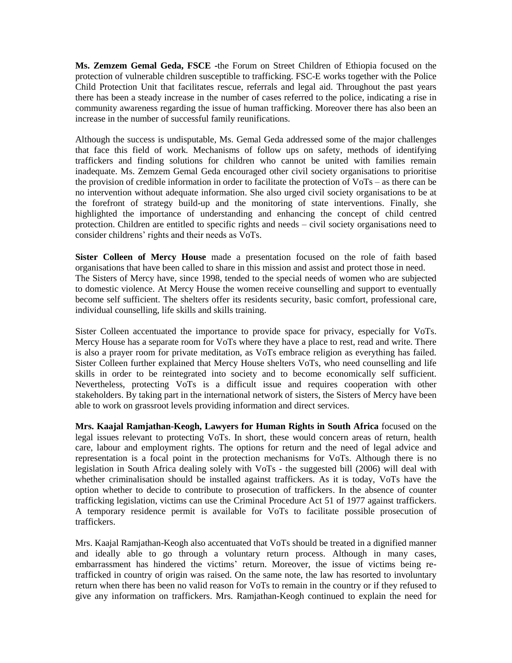**Ms. Zemzem Gemal Geda, FSCE -**the Forum on Street Children of Ethiopia focused on the protection of vulnerable children susceptible to trafficking. FSC-E works together with the Police Child Protection Unit that facilitates rescue, referrals and legal aid. Throughout the past years there has been a steady increase in the number of cases referred to the police, indicating a rise in community awareness regarding the issue of human trafficking. Moreover there has also been an increase in the number of successful family reunifications.

Although the success is undisputable, Ms. Gemal Geda addressed some of the major challenges that face this field of work. Mechanisms of follow ups on safety, methods of identifying traffickers and finding solutions for children who cannot be united with families remain inadequate. Ms. Zemzem Gemal Geda encouraged other civil society organisations to prioritise the provision of credible information in order to facilitate the protection of VoTs – as there can be no intervention without adequate information. She also urged civil society organisations to be at the forefront of strategy build-up and the monitoring of state interventions. Finally, she highlighted the importance of understanding and enhancing the concept of child centred protection. Children are entitled to specific rights and needs – civil society organisations need to consider childrens" rights and their needs as VoTs.

**Sister Colleen of Mercy House** made a presentation focused on the role of faith based organisations that have been called to share in this mission and assist and protect those in need. The Sisters of Mercy have, since 1998, tended to the special needs of women who are subjected to domestic violence. At Mercy House the women receive counselling and support to eventually become self sufficient. The shelters offer its residents security, basic comfort, professional care, individual counselling, life skills and skills training.

Sister Colleen accentuated the importance to provide space for privacy, especially for VoTs. Mercy House has a separate room for VoTs where they have a place to rest, read and write. There is also a prayer room for private meditation, as VoTs embrace religion as everything has failed. Sister Colleen further explained that Mercy House shelters VoTs, who need counselling and life skills in order to be reintegrated into society and to become economically self sufficient. Nevertheless, protecting VoTs is a difficult issue and requires cooperation with other stakeholders. By taking part in the international network of sisters, the Sisters of Mercy have been able to work on grassroot levels providing information and direct services.

**Mrs. Kaajal Ramjathan-Keogh, Lawyers for Human Rights in South Africa** focused on the legal issues relevant to protecting VoTs. In short, these would concern areas of return, health care, labour and employment rights. The options for return and the need of legal advice and representation is a focal point in the protection mechanisms for VoTs. Although there is no legislation in South Africa dealing solely with VoTs - the suggested bill (2006) will deal with whether criminalisation should be installed against traffickers. As it is today, VoTs have the option whether to decide to contribute to prosecution of traffickers. In the absence of counter trafficking legislation, victims can use the Criminal Procedure Act 51 of 1977 against traffickers. A temporary residence permit is available for VoTs to facilitate possible prosecution of traffickers.

Mrs. Kaajal Ramjathan-Keogh also accentuated that VoTs should be treated in a dignified manner and ideally able to go through a voluntary return process. Although in many cases, embarrassment has hindered the victims' return. Moreover, the issue of victims being retrafficked in country of origin was raised. On the same note, the law has resorted to involuntary return when there has been no valid reason for VoTs to remain in the country or if they refused to give any information on traffickers. Mrs. Ramjathan-Keogh continued to explain the need for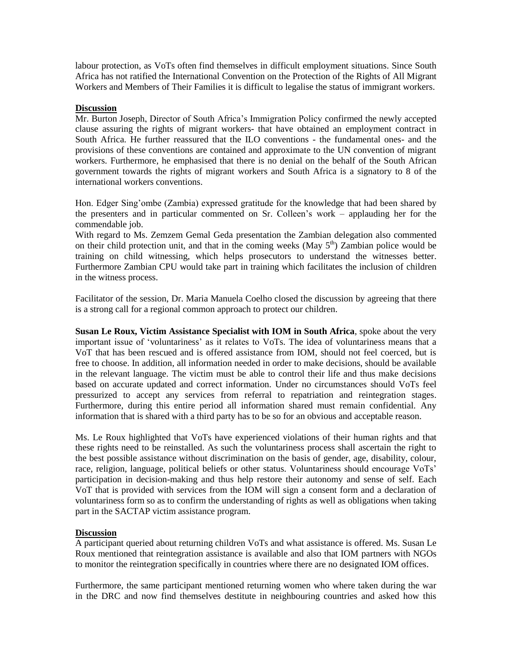labour protection, as VoTs often find themselves in difficult employment situations. Since South Africa has not ratified the International Convention on the Protection of the Rights of All Migrant Workers and Members of Their Families it is difficult to legalise the status of immigrant workers.

#### **Discussion**

Mr. Burton Joseph, Director of South Africa"s Immigration Policy confirmed the newly accepted clause assuring the rights of migrant workers- that have obtained an employment contract in South Africa. He further reassured that the ILO conventions - the fundamental ones- and the provisions of these conventions are contained and approximate to the UN convention of migrant workers. Furthermore, he emphasised that there is no denial on the behalf of the South African government towards the rights of migrant workers and South Africa is a signatory to 8 of the international workers conventions.

Hon. Edger Sing"ombe (Zambia) expressed gratitude for the knowledge that had been shared by the presenters and in particular commented on Sr. Colleen"s work – applauding her for the commendable job.

With regard to Ms. Zemzem Gemal Geda presentation the Zambian delegation also commented on their child protection unit, and that in the coming weeks (May  $5<sup>th</sup>$ ) Zambian police would be training on child witnessing, which helps prosecutors to understand the witnesses better. Furthermore Zambian CPU would take part in training which facilitates the inclusion of children in the witness process.

Facilitator of the session, Dr. Maria Manuela Coelho closed the discussion by agreeing that there is a strong call for a regional common approach to protect our children.

**Susan Le Roux, Victim Assistance Specialist with IOM in South Africa**, spoke about the very important issue of "voluntariness" as it relates to VoTs. The idea of voluntariness means that a VoT that has been rescued and is offered assistance from IOM, should not feel coerced, but is free to choose. In addition, all information needed in order to make decisions, should be available in the relevant language. The victim must be able to control their life and thus make decisions based on accurate updated and correct information. Under no circumstances should VoTs feel pressurized to accept any services from referral to repatriation and reintegration stages. Furthermore, during this entire period all information shared must remain confidential. Any information that is shared with a third party has to be so for an obvious and acceptable reason.

Ms. Le Roux highlighted that VoTs have experienced violations of their human rights and that these rights need to be reinstalled. As such the voluntariness process shall ascertain the right to the best possible assistance without discrimination on the basis of gender, age, disability, colour, race, religion, language, political beliefs or other status. Voluntariness should encourage VoTs" participation in decision-making and thus help restore their autonomy and sense of self. Each VoT that is provided with services from the IOM will sign a consent form and a declaration of voluntariness form so as to confirm the understanding of rights as well as obligations when taking part in the SACTAP victim assistance program.

#### **Discussion**

A participant queried about returning children VoTs and what assistance is offered. Ms. Susan Le Roux mentioned that reintegration assistance is available and also that IOM partners with NGOs to monitor the reintegration specifically in countries where there are no designated IOM offices.

Furthermore, the same participant mentioned returning women who where taken during the war in the DRC and now find themselves destitute in neighbouring countries and asked how this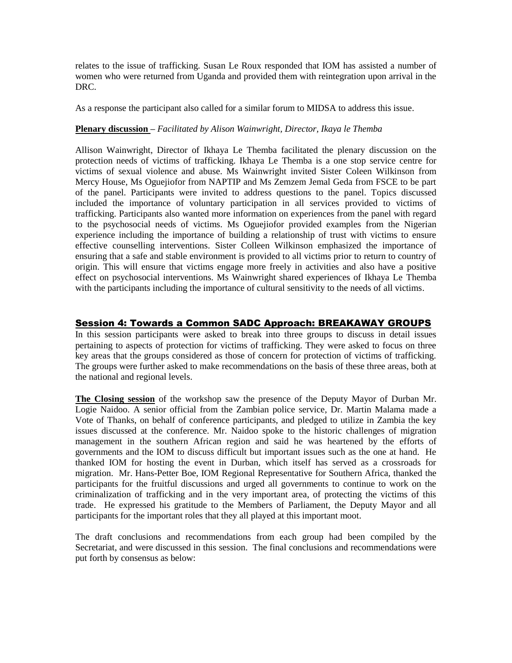relates to the issue of trafficking. Susan Le Roux responded that IOM has assisted a number of women who were returned from Uganda and provided them with reintegration upon arrival in the DRC.

As a response the participant also called for a similar forum to MIDSA to address this issue.

#### **Plenary discussion –** *Facilitated by Alison Wainwright, Director, Ikaya le Themba*

Allison Wainwright, Director of Ikhaya Le Themba facilitated the plenary discussion on the protection needs of victims of trafficking. Ikhaya Le Themba is a one stop service centre for victims of sexual violence and abuse. Ms Wainwright invited Sister Coleen Wilkinson from Mercy House, Ms Oguejiofor from NAPTIP and Ms Zemzem Jemal Geda from FSCE to be part of the panel. Participants were invited to address questions to the panel. Topics discussed included the importance of voluntary participation in all services provided to victims of trafficking. Participants also wanted more information on experiences from the panel with regard to the psychosocial needs of victims. Ms Oguejiofor provided examples from the Nigerian experience including the importance of building a relationship of trust with victims to ensure effective counselling interventions. Sister Colleen Wilkinson emphasized the importance of ensuring that a safe and stable environment is provided to all victims prior to return to country of origin. This will ensure that victims engage more freely in activities and also have a positive effect on psychosocial interventions. Ms Wainwright shared experiences of Ikhaya Le Themba with the participants including the importance of cultural sensitivity to the needs of all victims.

#### Session 4: Towards a Common SADC Approach: BREAKAWAY GROUPS

In this session participants were asked to break into three groups to discuss in detail issues pertaining to aspects of protection for victims of trafficking. They were asked to focus on three key areas that the groups considered as those of concern for protection of victims of trafficking. The groups were further asked to make recommendations on the basis of these three areas, both at the national and regional levels.

**The Closing session** of the workshop saw the presence of the Deputy Mayor of Durban Mr. Logie Naidoo. A senior official from the Zambian police service, Dr. Martin Malama made a Vote of Thanks, on behalf of conference participants, and pledged to utilize in Zambia the key issues discussed at the conference. Mr. Naidoo spoke to the historic challenges of migration management in the southern African region and said he was heartened by the efforts of governments and the IOM to discuss difficult but important issues such as the one at hand. He thanked IOM for hosting the event in Durban, which itself has served as a crossroads for migration. Mr. Hans-Petter Boe, IOM Regional Representative for Southern Africa, thanked the participants for the fruitful discussions and urged all governments to continue to work on the criminalization of trafficking and in the very important area, of protecting the victims of this trade. He expressed his gratitude to the Members of Parliament, the Deputy Mayor and all participants for the important roles that they all played at this important moot.

The draft conclusions and recommendations from each group had been compiled by the Secretariat, and were discussed in this session. The final conclusions and recommendations were put forth by consensus as below: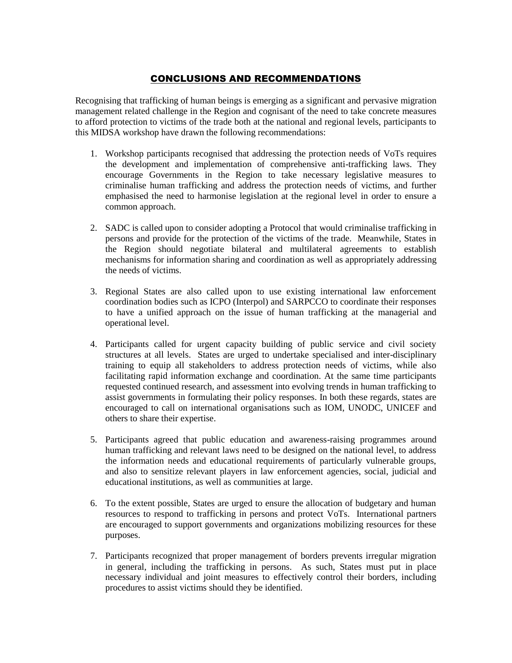### CONCLUSIONS AND RECOMMENDATIONS

Recognising that trafficking of human beings is emerging as a significant and pervasive migration management related challenge in the Region and cognisant of the need to take concrete measures to afford protection to victims of the trade both at the national and regional levels, participants to this MIDSA workshop have drawn the following recommendations:

- 1. Workshop participants recognised that addressing the protection needs of VoTs requires the development and implementation of comprehensive anti-trafficking laws. They encourage Governments in the Region to take necessary legislative measures to criminalise human trafficking and address the protection needs of victims, and further emphasised the need to harmonise legislation at the regional level in order to ensure a common approach.
- 2. SADC is called upon to consider adopting a Protocol that would criminalise trafficking in persons and provide for the protection of the victims of the trade. Meanwhile, States in the Region should negotiate bilateral and multilateral agreements to establish mechanisms for information sharing and coordination as well as appropriately addressing the needs of victims.
- 3. Regional States are also called upon to use existing international law enforcement coordination bodies such as ICPO (Interpol) and SARPCCO to coordinate their responses to have a unified approach on the issue of human trafficking at the managerial and operational level.
- 4. Participants called for urgent capacity building of public service and civil society structures at all levels. States are urged to undertake specialised and inter-disciplinary training to equip all stakeholders to address protection needs of victims, while also facilitating rapid information exchange and coordination. At the same time participants requested continued research, and assessment into evolving trends in human trafficking to assist governments in formulating their policy responses. In both these regards, states are encouraged to call on international organisations such as IOM, UNODC, UNICEF and others to share their expertise.
- 5. Participants agreed that public education and awareness-raising programmes around human trafficking and relevant laws need to be designed on the national level, to address the information needs and educational requirements of particularly vulnerable groups, and also to sensitize relevant players in law enforcement agencies, social, judicial and educational institutions, as well as communities at large.
- 6. To the extent possible, States are urged to ensure the allocation of budgetary and human resources to respond to trafficking in persons and protect VoTs. International partners are encouraged to support governments and organizations mobilizing resources for these purposes.
- 7. Participants recognized that proper management of borders prevents irregular migration in general, including the trafficking in persons. As such, States must put in place necessary individual and joint measures to effectively control their borders, including procedures to assist victims should they be identified.